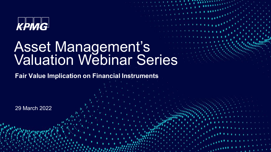

## Asset Management's Valuation Webinar Series

© 2022 KPMG, an Irish partnership and a member firm of the KPMG network of independent member firms affiliated with KPMG International Cooperative, a Swiss entity. All rights reserved.

**Fair Value Implication on Financial Instruments**

29 March 2022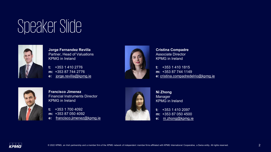## Speaker Slide



**Jorge Fernandez Revilla** Partner, Head of Valuations KPMG in Ireland

**t:** +353 1 410 2776 **m:** +353 87 744 2776 **e:** [jorge.revilla@kpmg.ie](mailto:jorge.revilla@kpmg.ie)



**Cristina Compadre** Associate Director KPMG in Ireland

**t:** +353 1 410 1815 **m:** +353 87 744 1149 **e:** [cristina.compadredelrio@kpmg.ie](mailto:cristina.compadredelrio@kpmg.ie)



**Francisco Jimenez** Financial Instruments Director KPMG in Ireland

**t:** +353 1 700 4092 **m:** +353 87 050 4092 **e:** [francisco.jimenez@kpmg.ie](mailto:francisco.jimenez@kpmg.ie)



**Ni Zhong** Manager KPMG in Ireland

**t:** +353 1 410 2097 **m:** +353 87 050 4500 **e:** [ni.zhong@kpmg.ie](mailto:ni.zhong@kpmg.ie)

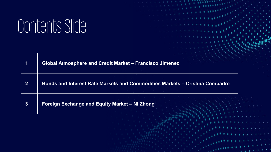# Contents Slide

| 1              | Global Atmosphere and Credit Market - Francisco Jimenez                     |  |
|----------------|-----------------------------------------------------------------------------|--|
| $\overline{2}$ | Bonds and Interest Rate Markets and Commodities Markets - Cristina Compadre |  |
| 3              | Foreign Exchange and Equity Market - Ni Zhong                               |  |

© 2022 KPMG, an Irish partnership and a member firm of the KPMG network of independent member firms affiliated with KPMG International Cooperative, a Swiss entity. All rights reserved. 3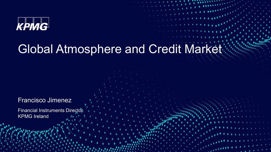

#### Global Atmosphere and Credit Market

© 2022 KPMG, an Irish partnership and a member firm of the KPMG network of independent member firms affiliated with KPMG International Cooperative, a Swiss entity. All rights reserved. 4

Francisco Jimenez

**Financial Instruments Director** KPMG Ireland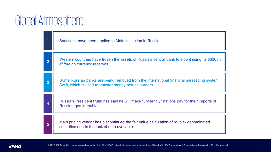#### Global Atmosphere

| 1              | Sanctions have been applied to Main institution in Russia                                                                                       |
|----------------|-------------------------------------------------------------------------------------------------------------------------------------------------|
| $\overline{2}$ | Western countries have frozen the assets of Russia's central bank to stop it using its \$630bn<br>of foreign currency reserves                  |
| 3              | Some Russian banks are being removed from the international financial messaging system<br>Swift, which is used to transfer money across borders |
| 4              | Russia's President Putin has said he will make "unfriendly" nations pay for their imports of<br>Russian gas in roubles                          |
| 5              | Main pricing vendor has discontinued the fair value calculation of rouble- denominated<br>securities due to the lack of data available          |

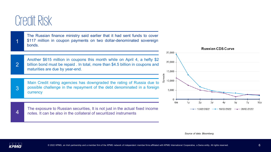#### Credit Risk

The Russian finance ministry said earlier that it had sent funds to cover \$117 million in coupon payments on two dollar-denominated sovereign  $1 \tbinom{$117}{600}$ 

Another \$615 million in coupons this month while on April 4, a hefty \$2 billion bond must be repaid . In total, more than \$4.5 billion in coupons and 2 billion bond must be repaid . In<br>maturities are due by year-end.

Main Credit rating agencies has downgraded the rating of Russia due to possible challenge in the repayment of the debt denominated in a foreign currency

The exposure to Russian securities, It is not just in the actual fixed income 4 notes. It can be also in the collateral of securitized instruments



*Source of data: Bloomberg*



3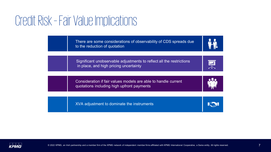#### Credit Risk –Fair Value Implications

There are some considerations of observability of CDS spreads due to the reduction of quotation

Significant unobservable adjustments to reflect all the restrictions in place, and high pricing uncertainty





雬

XVA adjustment to dominate the instruments

Simple preferred stock financing transactions



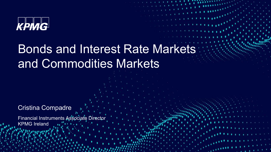

#### Bonds and Interest Rate Markets and Commodities Markets

© 2022 KPMG, an Irish partnership and a member firm of the KPMG network of independent member firms affiliated with KPMG International Cooperative, a Swiss entity. All rights reserved. 8

#### Cristina Compadre

Financial Instruments Associate Director KPMG Ireland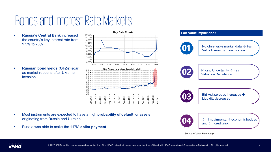#### Bonds and Interest Rate Markets

 **Russia's Central Bank** increased the country's key interest rate from 9.5% to 20%

 **Russian bond yields (OFZs)** soar as market reopens after Ukraine invasion



- Most instruments are expected to have a high **probability of default** for assets originating from Russia and Ukraine
- Russia was able to make the 117M **dollar payment**



*Source of data: Bloomberg*

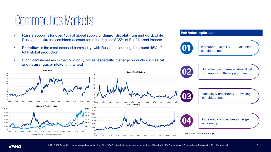#### Commodities Markets

Brent (\$/bbl.)

- Russia accounts for over 10% of global supply of **diamonds, platinum** and **gold**, while Russia and Ukraine combined account for in the region of 35% of EU-27 **steel** imports
- **Palladium** is the most exposed commodity, with Russia accounting for around 45% of total global production
- Significant increases in the commodity prices, especially in energy products such as **oil** and **natural gas** or **nickel** and **wheat**

#### **Fair Value Implications**





Uncertainty - Increased default risk & disruption in the supply chain



Matural Cap (CBBBD)

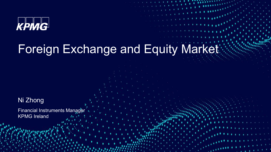

#### Foreign Exchange and Equity Market

© 2022 KPMG, an Irish partnership and a member firm of the KPMG network of independent member firms affiliated with KPMG International Cooperative, a Swiss entity. All rights reserved. 11

Ni Zhong

**Financial Instruments Manager** KPMG Ireland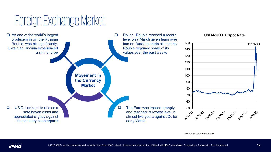### Foreign Exchange Market



*Source of data: Bloomberg*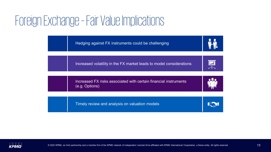## Foreign Exchange –Fair Value Implications

Simple preferred stock financing transactions

Hedging against FX instruments could be challenging



Increased volatility in the FX market leads to model considerations



Increased FX risks associated with certain financial instruments (e.g. Options)



Timely review and analysis on valuation models



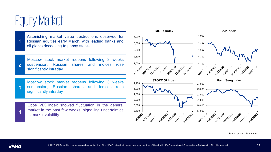

1

Astonishing market value destructions observed for Russian equities early March, with leading banks and oil giants deceasing to penny stocks

Moscow stock market reopens following 3 weeks suspension, Russian shares and indices rose significantly intraday  $\overline{2}$ 

Moscow stock market reopens following 3 weeks suspension, Russian shares and indices rose **3** suspension, Russia<br>significantly intraday

Cboe VIX index showed fluctuation in the general market in the past few weeks, signalling uncertainties  $4 \overline{\phantom{a}}$  market in the past<br>in market volatility





*Source of data: Bloomberg*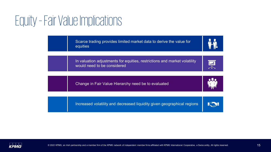### Equity –Fair Value Implications

Scarce trading provides limited market data to derive the value for equities



In valuation adjustments for equities, restrictions and market volatility would need to be considered



Change in Fair Value Hierarchy need be to evaluated

Simple preferred stock financing transactions





Increased volatility and decreased liquidity given geographical regions

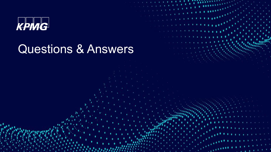

### Questions & Answers

© 2022 KPMG, an Irish partnership and a member firm of the KPMG network of independent member firms affiliated with KPMG International Cooperative, a Swiss entity. All rights reserved. 16